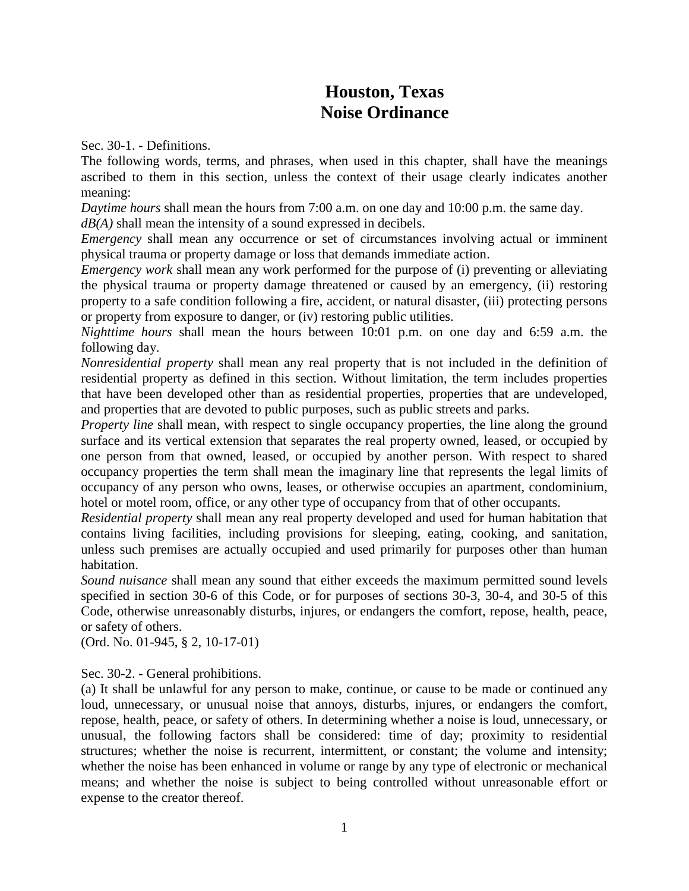## **Houston, Texas Noise Ordinance**

Sec. 30-1. - Definitions.

The following words, terms, and phrases, when used in this chapter, shall have the meanings ascribed to them in this section, unless the context of their usage clearly indicates another meaning:

*Daytime hours* shall mean the hours from 7:00 a.m. on one day and 10:00 p.m. the same day.

*dB(A)* shall mean the intensity of a sound expressed in decibels.

*Emergency* shall mean any occurrence or set of circumstances involving actual or imminent physical trauma or property damage or loss that demands immediate action.

*Emergency work* shall mean any work performed for the purpose of (i) preventing or alleviating the physical trauma or property damage threatened or caused by an emergency, (ii) restoring property to a safe condition following a fire, accident, or natural disaster, (iii) protecting persons or property from exposure to danger, or (iv) restoring public utilities.

*Nighttime hours* shall mean the hours between 10:01 p.m. on one day and 6:59 a.m. the following day.

*Nonresidential property* shall mean any real property that is not included in the definition of residential property as defined in this section. Without limitation, the term includes properties that have been developed other than as residential properties, properties that are undeveloped, and properties that are devoted to public purposes, such as public streets and parks.

*Property line* shall mean, with respect to single occupancy properties, the line along the ground surface and its vertical extension that separates the real property owned, leased, or occupied by one person from that owned, leased, or occupied by another person. With respect to shared occupancy properties the term shall mean the imaginary line that represents the legal limits of occupancy of any person who owns, leases, or otherwise occupies an apartment, condominium, hotel or motel room, office, or any other type of occupancy from that of other occupants.

*Residential property* shall mean any real property developed and used for human habitation that contains living facilities, including provisions for sleeping, eating, cooking, and sanitation, unless such premises are actually occupied and used primarily for purposes other than human habitation.

*Sound nuisance* shall mean any sound that either exceeds the maximum permitted sound levels specified in section 30-6 of this Code, or for purposes of sections 30-3, 30-4, and 30-5 of this Code, otherwise unreasonably disturbs, injures, or endangers the comfort, repose, health, peace, or safety of others.

(Ord. No. 01-945, § 2, 10-17-01)

Sec. 30-2. - General prohibitions.

(a) It shall be unlawful for any person to make, continue, or cause to be made or continued any loud, unnecessary, or unusual noise that annoys, disturbs, injures, or endangers the comfort, repose, health, peace, or safety of others. In determining whether a noise is loud, unnecessary, or unusual, the following factors shall be considered: time of day; proximity to residential structures; whether the noise is recurrent, intermittent, or constant; the volume and intensity; whether the noise has been enhanced in volume or range by any type of electronic or mechanical means; and whether the noise is subject to being controlled without unreasonable effort or expense to the creator thereof.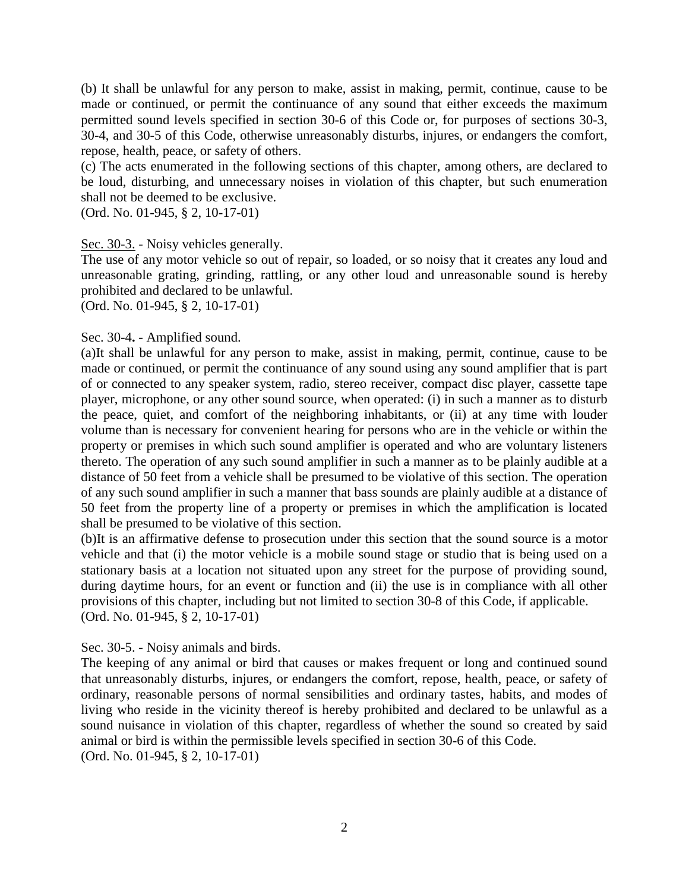(b) It shall be unlawful for any person to make, assist in making, permit, continue, cause to be made or continued, or permit the continuance of any sound that either exceeds the maximum permitted sound levels specified in section 30-6 of this Code or, for purposes of sections 30-3, 30-4, and 30-5 of this Code, otherwise unreasonably disturbs, injures, or endangers the comfort, repose, health, peace, or safety of others.

(c) The acts enumerated in the following sections of this chapter, among others, are declared to be loud, disturbing, and unnecessary noises in violation of this chapter, but such enumeration shall not be deemed to be exclusive.

(Ord. No. 01-945, § 2, 10-17-01)

#### Sec. 30-3. *-* Noisy vehicles generally.

The use of any motor vehicle so out of repair, so loaded, or so noisy that it creates any loud and unreasonable grating, grinding, rattling, or any other loud and unreasonable sound is hereby prohibited and declared to be unlawful.

(Ord. No. 01-945, § 2, 10-17-01)

#### Sec. 30-4**.** - Amplified sound.

(a)It shall be unlawful for any person to make, assist in making, permit, continue, cause to be made or continued, or permit the continuance of any sound using any sound amplifier that is part of or connected to any speaker system, radio, stereo receiver, compact disc player, cassette tape player, microphone, or any other sound source, when operated: (i) in such a manner as to disturb the peace, quiet, and comfort of the neighboring inhabitants, or (ii) at any time with louder volume than is necessary for convenient hearing for persons who are in the vehicle or within the property or premises in which such sound amplifier is operated and who are voluntary listeners thereto. The operation of any such sound amplifier in such a manner as to be plainly audible at a distance of 50 feet from a vehicle shall be presumed to be violative of this section. The operation of any such sound amplifier in such a manner that bass sounds are plainly audible at a distance of 50 feet from the property line of a property or premises in which the amplification is located shall be presumed to be violative of this section.

(b)It is an affirmative defense to prosecution under this section that the sound source is a motor vehicle and that (i) the motor vehicle is a mobile sound stage or studio that is being used on a stationary basis at a location not situated upon any street for the purpose of providing sound, during daytime hours, for an event or function and (ii) the use is in compliance with all other provisions of this chapter, including but not limited to section 30-8 of this Code, if applicable. (Ord. No. 01-945, § 2, 10-17-01)

Sec. 30-5. - Noisy animals and birds.

The keeping of any animal or bird that causes or makes frequent or long and continued sound that unreasonably disturbs, injures, or endangers the comfort, repose, health, peace, or safety of ordinary, reasonable persons of normal sensibilities and ordinary tastes, habits, and modes of living who reside in the vicinity thereof is hereby prohibited and declared to be unlawful as a sound nuisance in violation of this chapter, regardless of whether the sound so created by said animal or bird is within the permissible levels specified in section 30-6 of this Code. (Ord. No. 01-945, § 2, 10-17-01)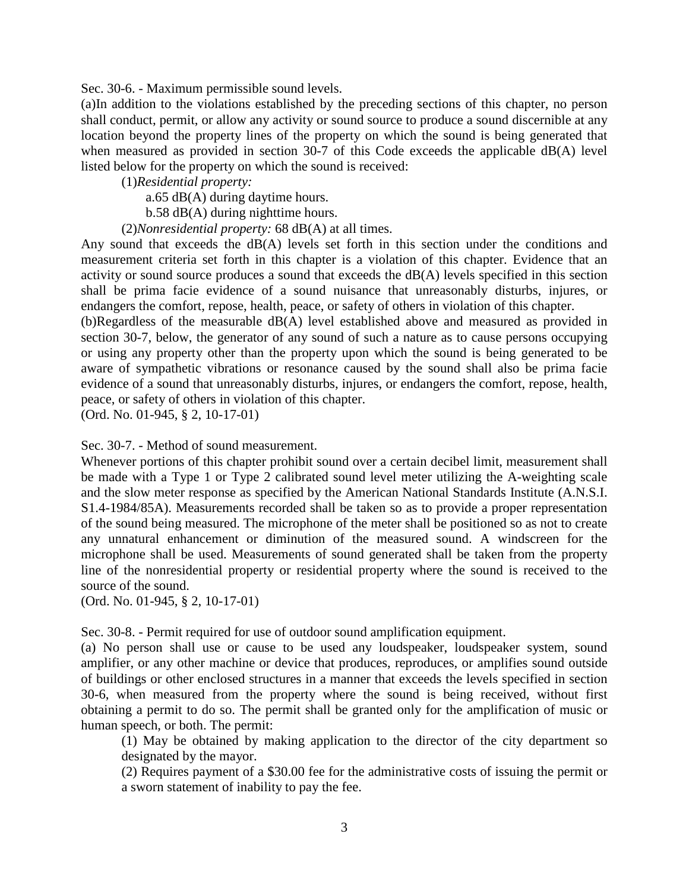Sec. 30-6. - Maximum permissible sound levels.

(a)In addition to the violations established by the preceding sections of this chapter, no person shall conduct, permit, or allow any activity or sound source to produce a sound discernible at any location beyond the property lines of the property on which the sound is being generated that when measured as provided in section 30-7 of this Code exceeds the applicable dB(A) level listed below for the property on which the sound is received:

(1)*Residential property:*

a.65 dB(A) during daytime hours.

b.58 dB(A) during nighttime hours.

(2)*Nonresidential property:* 68 dB(A) at all times.

Any sound that exceeds the dB(A) levels set forth in this section under the conditions and measurement criteria set forth in this chapter is a violation of this chapter. Evidence that an activity or sound source produces a sound that exceeds the dB(A) levels specified in this section shall be prima facie evidence of a sound nuisance that unreasonably disturbs, injures, or endangers the comfort, repose, health, peace, or safety of others in violation of this chapter.

(b)Regardless of the measurable dB(A) level established above and measured as provided in section 30-7, below, the generator of any sound of such a nature as to cause persons occupying or using any property other than the property upon which the sound is being generated to be aware of sympathetic vibrations or resonance caused by the sound shall also be prima facie evidence of a sound that unreasonably disturbs, injures, or endangers the comfort, repose, health, peace, or safety of others in violation of this chapter.

(Ord. No. 01-945, § 2, 10-17-01)

Sec. 30-7. - Method of sound measurement.

Whenever portions of this chapter prohibit sound over a certain decibel limit, measurement shall be made with a Type 1 or Type 2 calibrated sound level meter utilizing the A-weighting scale and the slow meter response as specified by the American National Standards Institute (A.N.S.I. S1.4-1984/85A). Measurements recorded shall be taken so as to provide a proper representation of the sound being measured. The microphone of the meter shall be positioned so as not to create any unnatural enhancement or diminution of the measured sound. A windscreen for the microphone shall be used. Measurements of sound generated shall be taken from the property line of the nonresidential property or residential property where the sound is received to the source of the sound.

(Ord. No. 01-945, § 2, 10-17-01)

Sec. 30-8. - Permit required for use of outdoor sound amplification equipment.

(a) No person shall use or cause to be used any loudspeaker, loudspeaker system, sound amplifier, or any other machine or device that produces, reproduces, or amplifies sound outside of buildings or other enclosed structures in a manner that exceeds the levels specified in section 30-6, when measured from the property where the sound is being received, without first obtaining a permit to do so. The permit shall be granted only for the amplification of music or human speech, or both. The permit:

(1) May be obtained by making application to the director of the city department so designated by the mayor.

(2) Requires payment of a \$30.00 fee for the administrative costs of issuing the permit or a sworn statement of inability to pay the fee.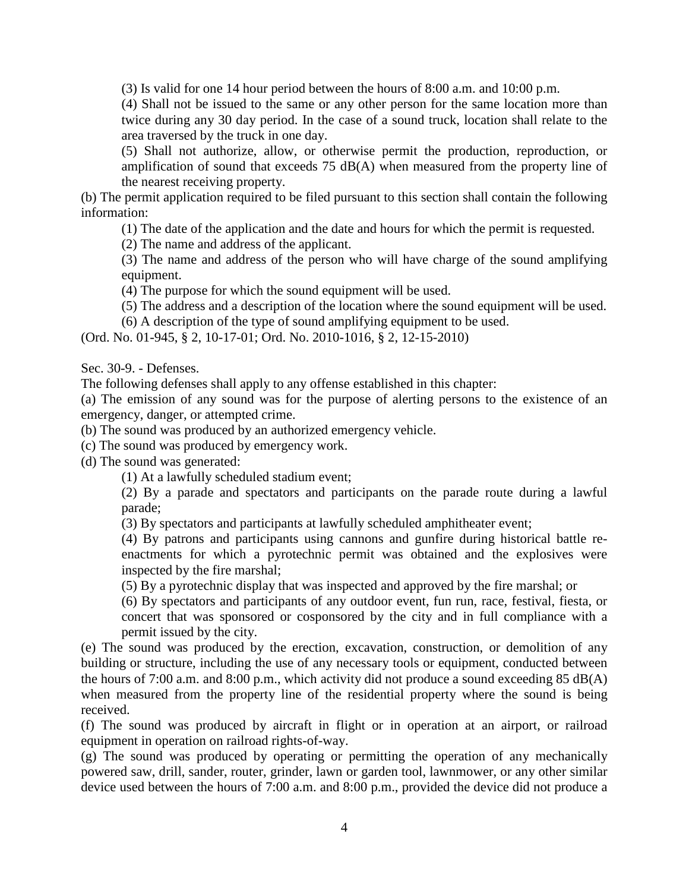(3) Is valid for one 14 hour period between the hours of 8:00 a.m. and 10:00 p.m.

(4) Shall not be issued to the same or any other person for the same location more than twice during any 30 day period. In the case of a sound truck, location shall relate to the area traversed by the truck in one day.

(5) Shall not authorize, allow, or otherwise permit the production, reproduction, or amplification of sound that exceeds 75 dB(A) when measured from the property line of the nearest receiving property.

(b) The permit application required to be filed pursuant to this section shall contain the following information:

(1) The date of the application and the date and hours for which the permit is requested.

(2) The name and address of the applicant.

(3) The name and address of the person who will have charge of the sound amplifying equipment.

(4) The purpose for which the sound equipment will be used.

(5) The address and a description of the location where the sound equipment will be used.

(6) A description of the type of sound amplifying equipment to be used.

(Ord. No. 01-945, § 2, 10-17-01; Ord. No. 2010-1016, § 2, 12-15-2010)

Sec. 30-9. - Defenses.

The following defenses shall apply to any offense established in this chapter:

(a) The emission of any sound was for the purpose of alerting persons to the existence of an emergency, danger, or attempted crime.

(b) The sound was produced by an authorized emergency vehicle.

(c) The sound was produced by emergency work.

(d) The sound was generated:

(1) At a lawfully scheduled stadium event;

(2) By a parade and spectators and participants on the parade route during a lawful parade;

(3) By spectators and participants at lawfully scheduled amphitheater event;

(4) By patrons and participants using cannons and gunfire during historical battle reenactments for which a pyrotechnic permit was obtained and the explosives were inspected by the fire marshal;

(5) By a pyrotechnic display that was inspected and approved by the fire marshal; or

(6) By spectators and participants of any outdoor event, fun run, race, festival, fiesta, or concert that was sponsored or cosponsored by the city and in full compliance with a permit issued by the city.

(e) The sound was produced by the erection, excavation, construction, or demolition of any building or structure, including the use of any necessary tools or equipment, conducted between the hours of 7:00 a.m. and 8:00 p.m., which activity did not produce a sound exceeding 85 dB(A) when measured from the property line of the residential property where the sound is being received.

(f) The sound was produced by aircraft in flight or in operation at an airport, or railroad equipment in operation on railroad rights-of-way.

(g) The sound was produced by operating or permitting the operation of any mechanically powered saw, drill, sander, router, grinder, lawn or garden tool, lawnmower, or any other similar device used between the hours of 7:00 a.m. and 8:00 p.m., provided the device did not produce a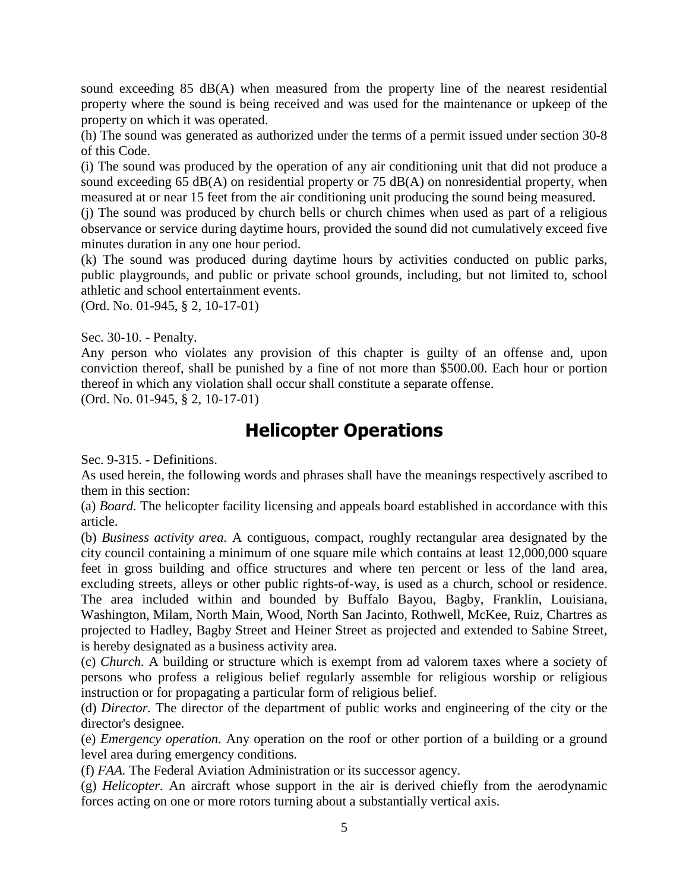sound exceeding 85 dB(A) when measured from the property line of the nearest residential property where the sound is being received and was used for the maintenance or upkeep of the property on which it was operated.

(h) The sound was generated as authorized under the terms of a permit issued under section 30-8 of this Code.

(i) The sound was produced by the operation of any air conditioning unit that did not produce a sound exceeding 65  $dB(A)$  on residential property or 75  $dB(A)$  on nonresidential property, when measured at or near 15 feet from the air conditioning unit producing the sound being measured.

(j) The sound was produced by church bells or church chimes when used as part of a religious observance or service during daytime hours, provided the sound did not cumulatively exceed five minutes duration in any one hour period.

(k) The sound was produced during daytime hours by activities conducted on public parks, public playgrounds, and public or private school grounds, including, but not limited to, school athletic and school entertainment events.

(Ord. No. 01-945, § 2, 10-17-01)

Sec. 30-10. - Penalty.

Any person who violates any provision of this chapter is guilty of an offense and, upon conviction thereof, shall be punished by a fine of not more than \$500.00. Each hour or portion thereof in which any violation shall occur shall constitute a separate offense.

(Ord. No. 01-945, § 2, 10-17-01)

# **Helicopter Operations**

Sec. 9-315. - Definitions.

As used herein, the following words and phrases shall have the meanings respectively ascribed to them in this section:

(a) *Board.* The helicopter facility licensing and appeals board established in accordance with this article.

(b) *Business activity area.* A contiguous, compact, roughly rectangular area designated by the city council containing a minimum of one square mile which contains at least 12,000,000 square feet in gross building and office structures and where ten percent or less of the land area, excluding streets, alleys or other public rights-of-way, is used as a church, school or residence. The area included within and bounded by Buffalo Bayou, Bagby, Franklin, Louisiana, Washington, Milam, North Main, Wood, North San Jacinto, Rothwell, McKee, Ruiz, Chartres as projected to Hadley, Bagby Street and Heiner Street as projected and extended to Sabine Street, is hereby designated as a business activity area.

(c) *Church.* A building or structure which is exempt from ad valorem taxes where a society of persons who profess a religious belief regularly assemble for religious worship or religious instruction or for propagating a particular form of religious belief.

(d) *Director.* The director of the department of public works and engineering of the city or the director's designee.

(e) *Emergency operation.* Any operation on the roof or other portion of a building or a ground level area during emergency conditions.

(f) *FAA.* The Federal Aviation Administration or its successor agency.

(g) *Helicopter.* An aircraft whose support in the air is derived chiefly from the aerodynamic forces acting on one or more rotors turning about a substantially vertical axis.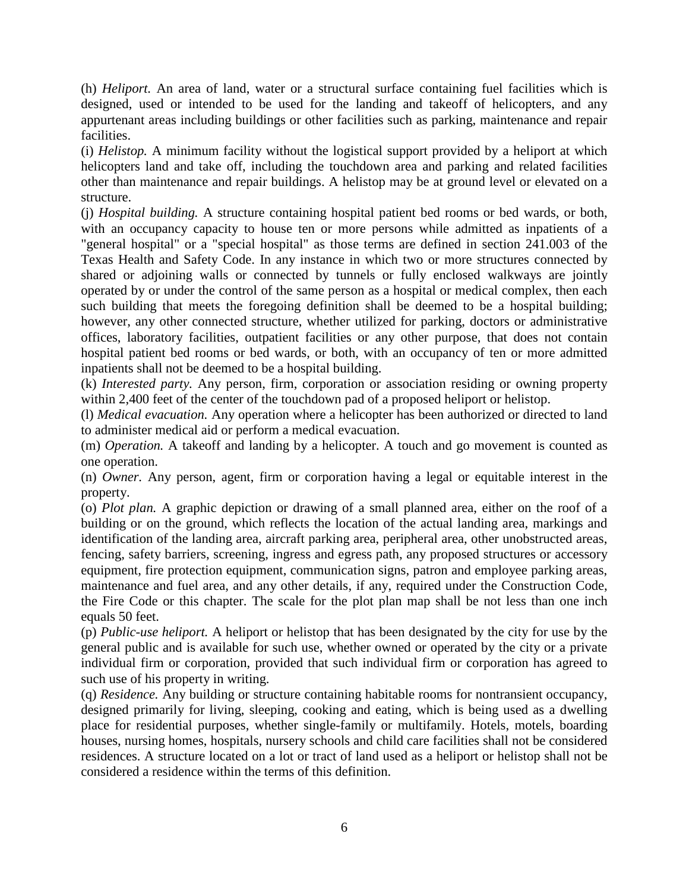(h) *Heliport.* An area of land, water or a structural surface containing fuel facilities which is designed, used or intended to be used for the landing and takeoff of helicopters, and any appurtenant areas including buildings or other facilities such as parking, maintenance and repair facilities.

(i) *Helistop.* A minimum facility without the logistical support provided by a heliport at which helicopters land and take off, including the touchdown area and parking and related facilities other than maintenance and repair buildings. A helistop may be at ground level or elevated on a structure.

(j) *Hospital building.* A structure containing hospital patient bed rooms or bed wards, or both, with an occupancy capacity to house ten or more persons while admitted as inpatients of a "general hospital" or a "special hospital" as those terms are defined in section 241.003 of the Texas Health and Safety Code. In any instance in which two or more structures connected by shared or adjoining walls or connected by tunnels or fully enclosed walkways are jointly operated by or under the control of the same person as a hospital or medical complex, then each such building that meets the foregoing definition shall be deemed to be a hospital building; however, any other connected structure, whether utilized for parking, doctors or administrative offices, laboratory facilities, outpatient facilities or any other purpose, that does not contain hospital patient bed rooms or bed wards, or both, with an occupancy of ten or more admitted inpatients shall not be deemed to be a hospital building.

(k) *Interested party.* Any person, firm, corporation or association residing or owning property within 2,400 feet of the center of the touchdown pad of a proposed heliport or helistop.

(l) *Medical evacuation.* Any operation where a helicopter has been authorized or directed to land to administer medical aid or perform a medical evacuation.

(m) *Operation.* A takeoff and landing by a helicopter. A touch and go movement is counted as one operation.

(n) *Owner.* Any person, agent, firm or corporation having a legal or equitable interest in the property.

(o) *Plot plan.* A graphic depiction or drawing of a small planned area, either on the roof of a building or on the ground, which reflects the location of the actual landing area, markings and identification of the landing area, aircraft parking area, peripheral area, other unobstructed areas, fencing, safety barriers, screening, ingress and egress path, any proposed structures or accessory equipment, fire protection equipment, communication signs, patron and employee parking areas, maintenance and fuel area, and any other details, if any, required under the Construction Code, the Fire Code or this chapter. The scale for the plot plan map shall be not less than one inch equals 50 feet.

(p) *Public-use heliport.* A heliport or helistop that has been designated by the city for use by the general public and is available for such use, whether owned or operated by the city or a private individual firm or corporation, provided that such individual firm or corporation has agreed to such use of his property in writing.

(q) *Residence.* Any building or structure containing habitable rooms for nontransient occupancy, designed primarily for living, sleeping, cooking and eating, which is being used as a dwelling place for residential purposes, whether single-family or multifamily. Hotels, motels, boarding houses, nursing homes, hospitals, nursery schools and child care facilities shall not be considered residences. A structure located on a lot or tract of land used as a heliport or helistop shall not be considered a residence within the terms of this definition.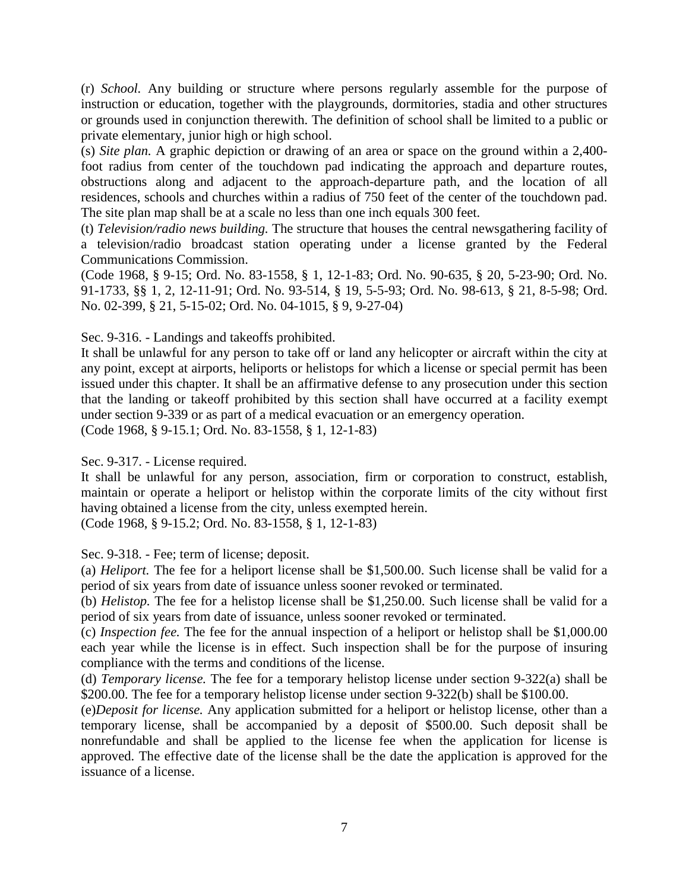(r) *School.* Any building or structure where persons regularly assemble for the purpose of instruction or education, together with the playgrounds, dormitories, stadia and other structures or grounds used in conjunction therewith. The definition of school shall be limited to a public or private elementary, junior high or high school.

(s) *Site plan.* A graphic depiction or drawing of an area or space on the ground within a 2,400 foot radius from center of the touchdown pad indicating the approach and departure routes, obstructions along and adjacent to the approach-departure path, and the location of all residences, schools and churches within a radius of 750 feet of the center of the touchdown pad. The site plan map shall be at a scale no less than one inch equals 300 feet.

(t) *Television/radio news building.* The structure that houses the central newsgathering facility of a television/radio broadcast station operating under a license granted by the Federal Communications Commission.

(Code 1968, § 9-15; Ord. No. 83-1558, § 1, 12-1-83; Ord. No. 90-635, § 20, 5-23-90; Ord. No. 91-1733, §§ 1, 2, 12-11-91; Ord. No. 93-514, § 19, 5-5-93; Ord. No. 98-613, § 21, 8-5-98; Ord. No. 02-399, § 21, 5-15-02; Ord. No. 04-1015, § 9, 9-27-04)

Sec. 9-316. - Landings and takeoffs prohibited.

It shall be unlawful for any person to take off or land any helicopter or aircraft within the city at any point, except at airports, heliports or helistops for which a license or special permit has been issued under this chapter. It shall be an affirmative defense to any prosecution under this section that the landing or takeoff prohibited by this section shall have occurred at a facility exempt under section 9-339 or as part of a medical evacuation or an emergency operation. (Code 1968, § 9-15.1; Ord. No. 83-1558, § 1, 12-1-83)

Sec. 9-317. - License required.

It shall be unlawful for any person, association, firm or corporation to construct, establish, maintain or operate a heliport or helistop within the corporate limits of the city without first having obtained a license from the city, unless exempted herein.

(Code 1968, § 9-15.2; Ord. No. 83-1558, § 1, 12-1-83)

Sec. 9-318. - Fee; term of license; deposit.

(a) *Heliport.* The fee for a heliport license shall be \$1,500.00. Such license shall be valid for a period of six years from date of issuance unless sooner revoked or terminated.

(b) *Helistop.* The fee for a helistop license shall be \$1,250.00. Such license shall be valid for a period of six years from date of issuance, unless sooner revoked or terminated.

(c) *Inspection fee.* The fee for the annual inspection of a heliport or helistop shall be \$1,000.00 each year while the license is in effect. Such inspection shall be for the purpose of insuring compliance with the terms and conditions of the license.

(d) *Temporary license.* The fee for a temporary helistop license under section 9-322(a) shall be \$200.00. The fee for a temporary helistop license under section 9-322(b) shall be \$100.00.

(e)*Deposit for license.* Any application submitted for a heliport or helistop license, other than a temporary license, shall be accompanied by a deposit of \$500.00. Such deposit shall be nonrefundable and shall be applied to the license fee when the application for license is approved. The effective date of the license shall be the date the application is approved for the issuance of a license.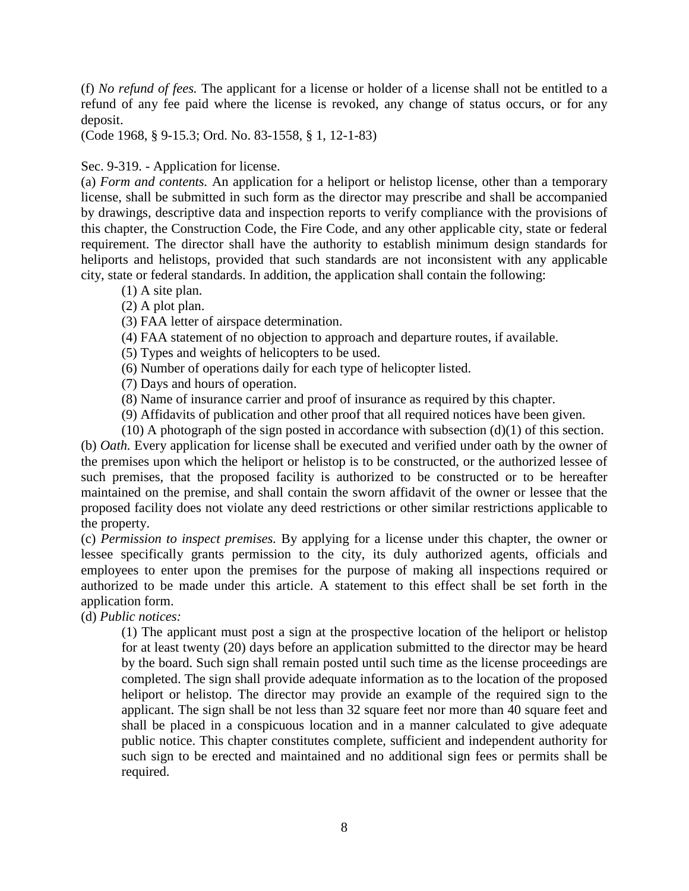(f) *No refund of fees.* The applicant for a license or holder of a license shall not be entitled to a refund of any fee paid where the license is revoked, any change of status occurs, or for any deposit.

(Code 1968, § 9-15.3; Ord. No. 83-1558, § 1, 12-1-83)

#### Sec. 9-319. - Application for license.

(a) *Form and contents.* An application for a heliport or helistop license, other than a temporary license, shall be submitted in such form as the director may prescribe and shall be accompanied by drawings, descriptive data and inspection reports to verify compliance with the provisions of this chapter, the Construction Code, the Fire Code, and any other applicable city, state or federal requirement. The director shall have the authority to establish minimum design standards for heliports and helistops, provided that such standards are not inconsistent with any applicable city, state or federal standards. In addition, the application shall contain the following:

- (1) A site plan.
- (2) A plot plan.

(3) FAA letter of airspace determination.

(4) FAA statement of no objection to approach and departure routes, if available.

(5) Types and weights of helicopters to be used.

(6) Number of operations daily for each type of helicopter listed.

(7) Days and hours of operation.

(8) Name of insurance carrier and proof of insurance as required by this chapter.

(9) Affidavits of publication and other proof that all required notices have been given.

(10) A photograph of the sign posted in accordance with subsection  $(d)(1)$  of this section.

(b) *Oath.* Every application for license shall be executed and verified under oath by the owner of the premises upon which the heliport or helistop is to be constructed, or the authorized lessee of such premises, that the proposed facility is authorized to be constructed or to be hereafter maintained on the premise, and shall contain the sworn affidavit of the owner or lessee that the proposed facility does not violate any deed restrictions or other similar restrictions applicable to the property.

(c) *Permission to inspect premises.* By applying for a license under this chapter, the owner or lessee specifically grants permission to the city, its duly authorized agents, officials and employees to enter upon the premises for the purpose of making all inspections required or authorized to be made under this article. A statement to this effect shall be set forth in the application form.

(d) *Public notices:*

(1) The applicant must post a sign at the prospective location of the heliport or helistop for at least twenty (20) days before an application submitted to the director may be heard by the board. Such sign shall remain posted until such time as the license proceedings are completed. The sign shall provide adequate information as to the location of the proposed heliport or helistop. The director may provide an example of the required sign to the applicant. The sign shall be not less than 32 square feet nor more than 40 square feet and shall be placed in a conspicuous location and in a manner calculated to give adequate public notice. This chapter constitutes complete, sufficient and independent authority for such sign to be erected and maintained and no additional sign fees or permits shall be required.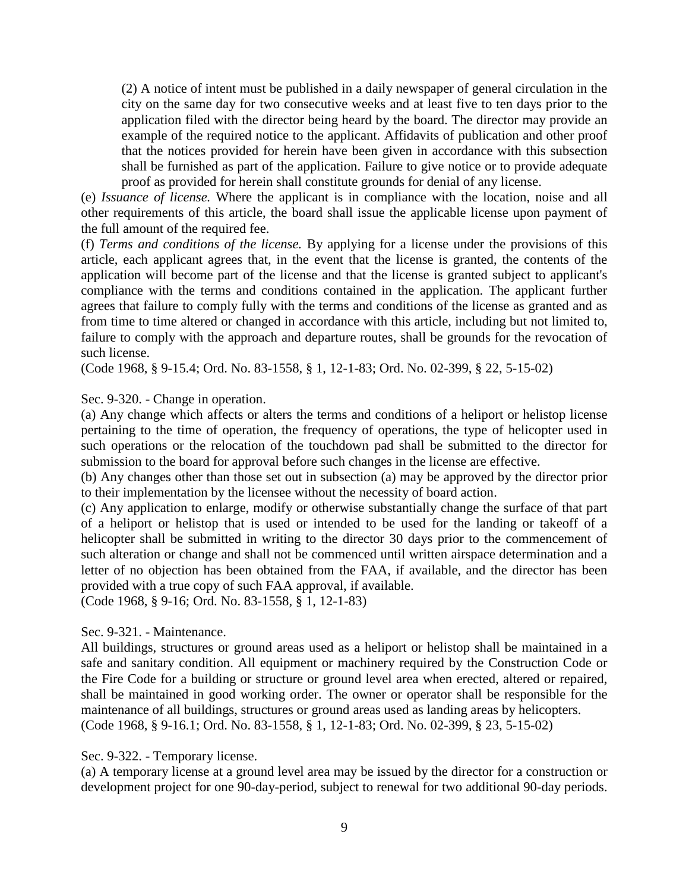(2) A notice of intent must be published in a daily newspaper of general circulation in the city on the same day for two consecutive weeks and at least five to ten days prior to the application filed with the director being heard by the board. The director may provide an example of the required notice to the applicant. Affidavits of publication and other proof that the notices provided for herein have been given in accordance with this subsection shall be furnished as part of the application. Failure to give notice or to provide adequate proof as provided for herein shall constitute grounds for denial of any license.

(e) *Issuance of license.* Where the applicant is in compliance with the location, noise and all other requirements of this article, the board shall issue the applicable license upon payment of the full amount of the required fee.

(f) *Terms and conditions of the license.* By applying for a license under the provisions of this article, each applicant agrees that, in the event that the license is granted, the contents of the application will become part of the license and that the license is granted subject to applicant's compliance with the terms and conditions contained in the application. The applicant further agrees that failure to comply fully with the terms and conditions of the license as granted and as from time to time altered or changed in accordance with this article, including but not limited to, failure to comply with the approach and departure routes, shall be grounds for the revocation of such license.

(Code 1968, § 9-15.4; Ord. No. 83-1558, § 1, 12-1-83; Ord. No. 02-399, § 22, 5-15-02)

#### Sec. 9-320. - Change in operation.

(a) Any change which affects or alters the terms and conditions of a heliport or helistop license pertaining to the time of operation, the frequency of operations, the type of helicopter used in such operations or the relocation of the touchdown pad shall be submitted to the director for submission to the board for approval before such changes in the license are effective.

(b) Any changes other than those set out in subsection (a) may be approved by the director prior to their implementation by the licensee without the necessity of board action.

(c) Any application to enlarge, modify or otherwise substantially change the surface of that part of a heliport or helistop that is used or intended to be used for the landing or takeoff of a helicopter shall be submitted in writing to the director 30 days prior to the commencement of such alteration or change and shall not be commenced until written airspace determination and a letter of no objection has been obtained from the FAA, if available, and the director has been provided with a true copy of such FAA approval, if available.

(Code 1968, § 9-16; Ord. No. 83-1558, § 1, 12-1-83)

#### Sec. 9-321. - Maintenance.

All buildings, structures or ground areas used as a heliport or helistop shall be maintained in a safe and sanitary condition. All equipment or machinery required by the Construction Code or the Fire Code for a building or structure or ground level area when erected, altered or repaired, shall be maintained in good working order. The owner or operator shall be responsible for the maintenance of all buildings, structures or ground areas used as landing areas by helicopters. (Code 1968, § 9-16.1; Ord. No. 83-1558, § 1, 12-1-83; Ord. No. 02-399, § 23, 5-15-02)

#### Sec. 9-322. - Temporary license.

(a) A temporary license at a ground level area may be issued by the director for a construction or development project for one 90-day-period, subject to renewal for two additional 90-day periods.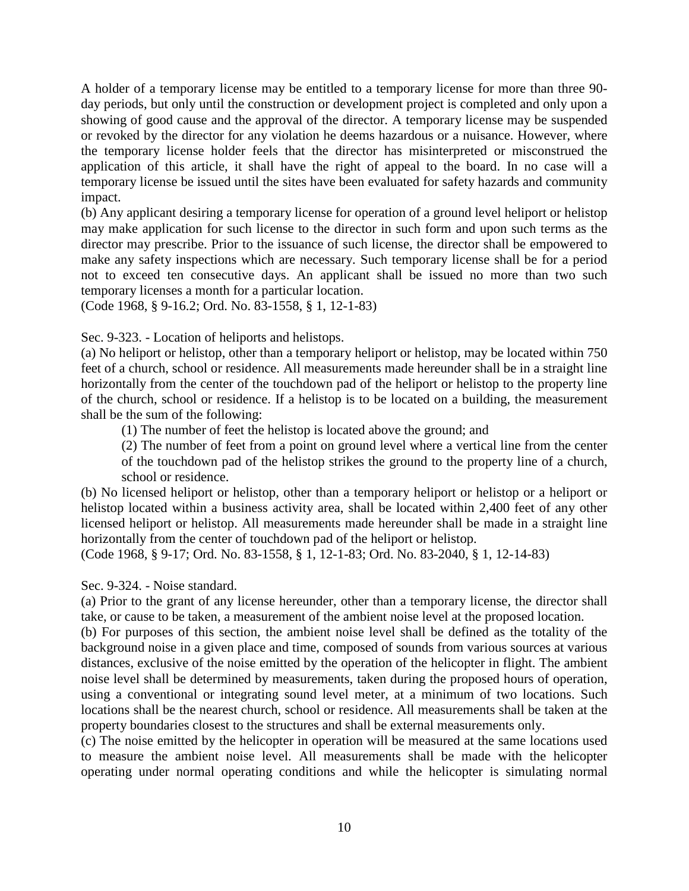A holder of a temporary license may be entitled to a temporary license for more than three 90 day periods, but only until the construction or development project is completed and only upon a showing of good cause and the approval of the director. A temporary license may be suspended or revoked by the director for any violation he deems hazardous or a nuisance. However, where the temporary license holder feels that the director has misinterpreted or misconstrued the application of this article, it shall have the right of appeal to the board. In no case will a temporary license be issued until the sites have been evaluated for safety hazards and community impact.

(b) Any applicant desiring a temporary license for operation of a ground level heliport or helistop may make application for such license to the director in such form and upon such terms as the director may prescribe. Prior to the issuance of such license, the director shall be empowered to make any safety inspections which are necessary. Such temporary license shall be for a period not to exceed ten consecutive days. An applicant shall be issued no more than two such temporary licenses a month for a particular location.

(Code 1968, § 9-16.2; Ord. No. 83-1558, § 1, 12-1-83)

Sec. 9-323. - Location of heliports and helistops.

(a) No heliport or helistop, other than a temporary heliport or helistop, may be located within 750 feet of a church, school or residence. All measurements made hereunder shall be in a straight line horizontally from the center of the touchdown pad of the heliport or helistop to the property line of the church, school or residence. If a helistop is to be located on a building, the measurement shall be the sum of the following:

(1) The number of feet the helistop is located above the ground; and

(2) The number of feet from a point on ground level where a vertical line from the center of the touchdown pad of the helistop strikes the ground to the property line of a church, school or residence.

(b) No licensed heliport or helistop, other than a temporary heliport or helistop or a heliport or helistop located within a business activity area, shall be located within 2,400 feet of any other licensed heliport or helistop. All measurements made hereunder shall be made in a straight line horizontally from the center of touchdown pad of the heliport or helistop.

(Code 1968, § 9-17; Ord. No. 83-1558, § 1, 12-1-83; Ord. No. 83-2040, § 1, 12-14-83)

Sec. 9-324. - Noise standard.

(a) Prior to the grant of any license hereunder, other than a temporary license, the director shall take, or cause to be taken, a measurement of the ambient noise level at the proposed location.

(b) For purposes of this section, the ambient noise level shall be defined as the totality of the background noise in a given place and time, composed of sounds from various sources at various distances, exclusive of the noise emitted by the operation of the helicopter in flight. The ambient noise level shall be determined by measurements, taken during the proposed hours of operation, using a conventional or integrating sound level meter, at a minimum of two locations. Such locations shall be the nearest church, school or residence. All measurements shall be taken at the property boundaries closest to the structures and shall be external measurements only.

(c) The noise emitted by the helicopter in operation will be measured at the same locations used to measure the ambient noise level. All measurements shall be made with the helicopter operating under normal operating conditions and while the helicopter is simulating normal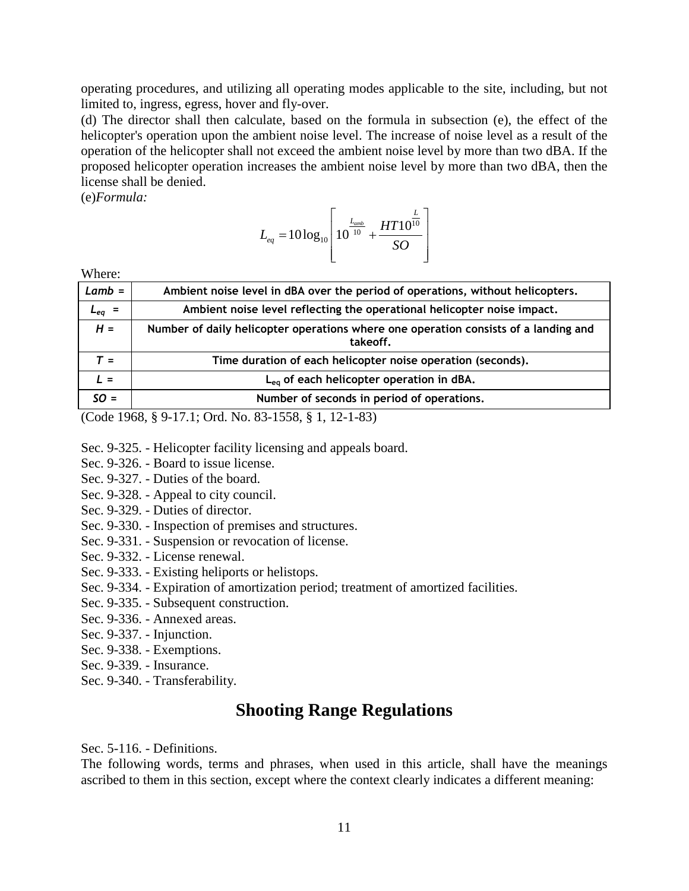operating procedures, and utilizing all operating modes applicable to the site, including, but not limited to, ingress, egress, hover and fly-over.

(d) The director shall then calculate, based on the formula in subsection (e), the effect of the helicopter's operation upon the ambient noise level. The increase of noise level as a result of the operation of the helicopter shall not exceed the ambient noise level by more than two dBA. If the proposed helicopter operation increases the ambient noise level by more than two dBA, then the license shall be denied.

(e)*Formula:*

$$
L_{eq} = 10\log_{10}\left[10^{\frac{L_{amb}}{10}} + \frac{HT10^{\frac{L}{10}}}{SO}\right]
$$

Where:

| $Lamb =$                                  | Ambient noise level in dBA over the period of operations, without helicopters.                  |
|-------------------------------------------|-------------------------------------------------------------------------------------------------|
| $L_{eq}$                                  | Ambient noise level reflecting the operational helicopter noise impact.                         |
| $H =$                                     | Number of daily helicopter operations where one operation consists of a landing and<br>takeoff. |
| $T =$                                     | Time duration of each helicopter noise operation (seconds).                                     |
| $I =$                                     | L <sub>ea</sub> of each helicopter operation in dBA.                                            |
| $SO =$                                    | Number of seconds in period of operations.                                                      |
| $\sim$ $\sim$ $\sim$ $\sim$ $\sim$ $\sim$ |                                                                                                 |

(Code 1968, § 9-17.1; Ord. No. 83-1558, § 1, 12-1-83)

- Sec. 9-325. Helicopter facility licensing and appeals board.
- Sec. 9-326. Board to issue license.
- Sec. 9-327. Duties of the board.
- Sec. 9-328. Appeal to city council.
- Sec. 9-329. Duties of director.
- Sec. 9-330. Inspection of premises and structures.
- Sec. 9-331. Suspension or revocation of license.
- Sec. 9-332. License renewal.
- Sec. 9-333. Existing heliports or helistops.
- Sec. 9-334. Expiration of amortization period; treatment of amortized facilities.
- Sec. 9-335. Subsequent construction.
- Sec. 9-336. Annexed areas.
- Sec. 9-337. Injunction.
- Sec. 9-338. Exemptions.
- Sec. 9-339. Insurance.
- Sec. 9-340. Transferability.

### **Shooting Range Regulations**

Sec. 5-116. - Definitions.

The following words, terms and phrases, when used in this article, shall have the meanings ascribed to them in this section, except where the context clearly indicates a different meaning: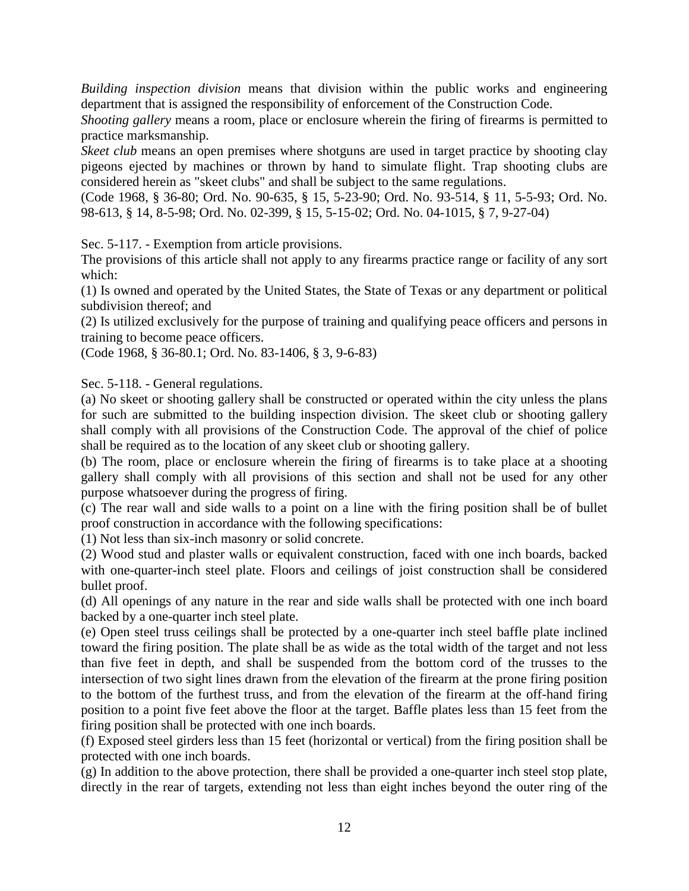*Building inspection division* means that division within the public works and engineering department that is assigned the responsibility of enforcement of the Construction Code.

*Shooting gallery* means a room, place or enclosure wherein the firing of firearms is permitted to practice marksmanship.

*Skeet club* means an open premises where shotguns are used in target practice by shooting clay pigeons ejected by machines or thrown by hand to simulate flight. Trap shooting clubs are considered herein as "skeet clubs" and shall be subject to the same regulations.

(Code 1968, § 36-80; Ord. No. 90-635, § 15, 5-23-90; Ord. No. 93-514, § 11, 5-5-93; Ord. No. 98-613, § 14, 8-5-98; Ord. No. 02-399, § 15, 5-15-02; Ord. No. 04-1015, § 7, 9-27-04)

Sec. 5-117. - Exemption from article provisions.

The provisions of this article shall not apply to any firearms practice range or facility of any sort which:

(1) Is owned and operated by the United States, the State of Texas or any department or political subdivision thereof; and

(2) Is utilized exclusively for the purpose of training and qualifying peace officers and persons in training to become peace officers.

(Code 1968, § 36-80.1; Ord. No. 83-1406, § 3, 9-6-83)

Sec. 5-118. - General regulations.

(a) No skeet or shooting gallery shall be constructed or operated within the city unless the plans for such are submitted to the building inspection division. The skeet club or shooting gallery shall comply with all provisions of the Construction Code. The approval of the chief of police shall be required as to the location of any skeet club or shooting gallery.

(b) The room, place or enclosure wherein the firing of firearms is to take place at a shooting gallery shall comply with all provisions of this section and shall not be used for any other purpose whatsoever during the progress of firing.

(c) The rear wall and side walls to a point on a line with the firing position shall be of bullet proof construction in accordance with the following specifications:

(1) Not less than six-inch masonry or solid concrete.

(2) Wood stud and plaster walls or equivalent construction, faced with one inch boards, backed with one-quarter-inch steel plate. Floors and ceilings of joist construction shall be considered bullet proof.

(d) All openings of any nature in the rear and side walls shall be protected with one inch board backed by a one-quarter inch steel plate.

(e) Open steel truss ceilings shall be protected by a one-quarter inch steel baffle plate inclined toward the firing position. The plate shall be as wide as the total width of the target and not less than five feet in depth, and shall be suspended from the bottom cord of the trusses to the intersection of two sight lines drawn from the elevation of the firearm at the prone firing position to the bottom of the furthest truss, and from the elevation of the firearm at the off-hand firing position to a point five feet above the floor at the target. Baffle plates less than 15 feet from the firing position shall be protected with one inch boards.

(f) Exposed steel girders less than 15 feet (horizontal or vertical) from the firing position shall be protected with one inch boards.

(g) In addition to the above protection, there shall be provided a one-quarter inch steel stop plate, directly in the rear of targets, extending not less than eight inches beyond the outer ring of the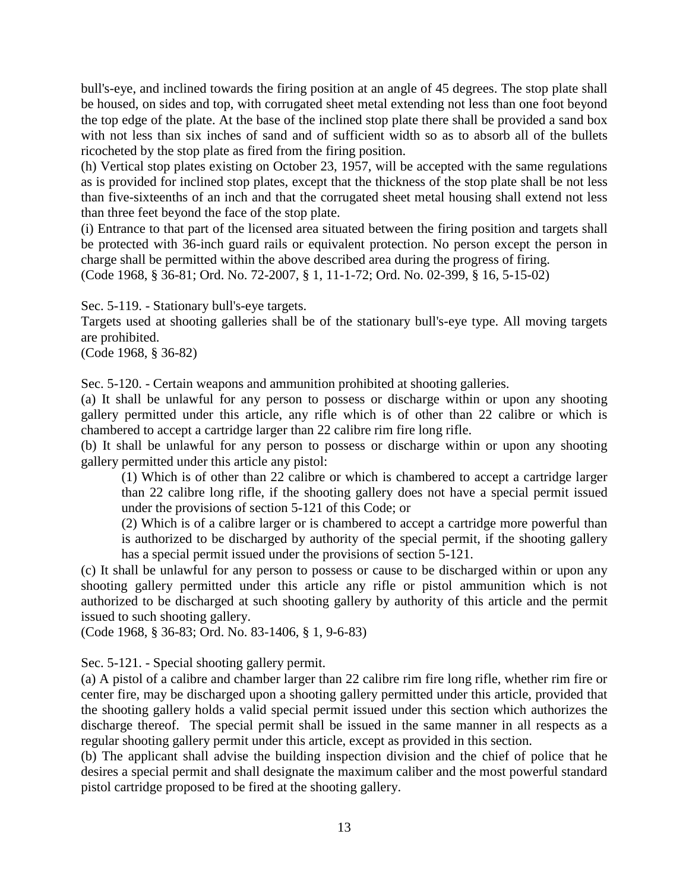bull's-eye, and inclined towards the firing position at an angle of 45 degrees. The stop plate shall be housed, on sides and top, with corrugated sheet metal extending not less than one foot beyond the top edge of the plate. At the base of the inclined stop plate there shall be provided a sand box with not less than six inches of sand and of sufficient width so as to absorb all of the bullets ricocheted by the stop plate as fired from the firing position.

(h) Vertical stop plates existing on October 23, 1957, will be accepted with the same regulations as is provided for inclined stop plates, except that the thickness of the stop plate shall be not less than five-sixteenths of an inch and that the corrugated sheet metal housing shall extend not less than three feet beyond the face of the stop plate.

(i) Entrance to that part of the licensed area situated between the firing position and targets shall be protected with 36-inch guard rails or equivalent protection. No person except the person in charge shall be permitted within the above described area during the progress of firing. (Code 1968, § 36-81; Ord. No. 72-2007, § 1, 11-1-72; Ord. No. 02-399, § 16, 5-15-02)

Sec. 5-119. - Stationary bull's-eye targets.

Targets used at shooting galleries shall be of the stationary bull's-eye type. All moving targets are prohibited.

(Code 1968, § 36-82)

Sec. 5-120. - Certain weapons and ammunition prohibited at shooting galleries.

(a) It shall be unlawful for any person to possess or discharge within or upon any shooting gallery permitted under this article, any rifle which is of other than 22 calibre or which is chambered to accept a cartridge larger than 22 calibre rim fire long rifle.

(b) It shall be unlawful for any person to possess or discharge within or upon any shooting gallery permitted under this article any pistol:

(1) Which is of other than 22 calibre or which is chambered to accept a cartridge larger than 22 calibre long rifle, if the shooting gallery does not have a special permit issued under the provisions of section 5-121 of this Code; or

(2) Which is of a calibre larger or is chambered to accept a cartridge more powerful than is authorized to be discharged by authority of the special permit, if the shooting gallery has a special permit issued under the provisions of section 5-121.

(c) It shall be unlawful for any person to possess or cause to be discharged within or upon any shooting gallery permitted under this article any rifle or pistol ammunition which is not authorized to be discharged at such shooting gallery by authority of this article and the permit issued to such shooting gallery.

(Code 1968, § 36-83; Ord. No. 83-1406, § 1, 9-6-83)

Sec. 5-121. - Special shooting gallery permit.

(a) A pistol of a calibre and chamber larger than 22 calibre rim fire long rifle, whether rim fire or center fire, may be discharged upon a shooting gallery permitted under this article, provided that the shooting gallery holds a valid special permit issued under this section which authorizes the discharge thereof. The special permit shall be issued in the same manner in all respects as a regular shooting gallery permit under this article, except as provided in this section.

(b) The applicant shall advise the building inspection division and the chief of police that he desires a special permit and shall designate the maximum caliber and the most powerful standard pistol cartridge proposed to be fired at the shooting gallery.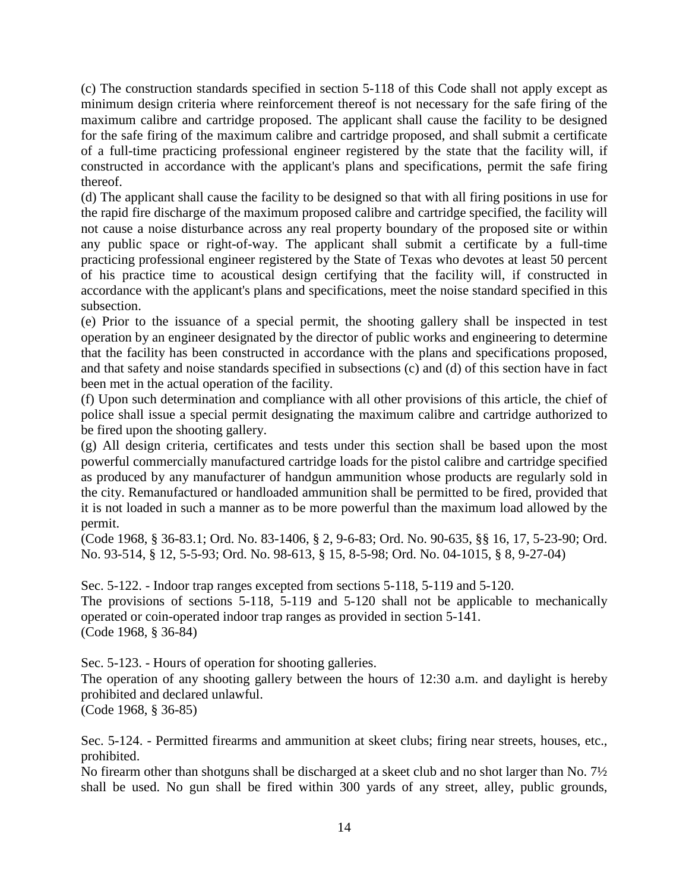(c) The construction standards specified in section 5-118 of this Code shall not apply except as minimum design criteria where reinforcement thereof is not necessary for the safe firing of the maximum calibre and cartridge proposed. The applicant shall cause the facility to be designed for the safe firing of the maximum calibre and cartridge proposed, and shall submit a certificate of a full-time practicing professional engineer registered by the state that the facility will, if constructed in accordance with the applicant's plans and specifications, permit the safe firing thereof.

(d) The applicant shall cause the facility to be designed so that with all firing positions in use for the rapid fire discharge of the maximum proposed calibre and cartridge specified, the facility will not cause a noise disturbance across any real property boundary of the proposed site or within any public space or right-of-way. The applicant shall submit a certificate by a full-time practicing professional engineer registered by the State of Texas who devotes at least 50 percent of his practice time to acoustical design certifying that the facility will, if constructed in accordance with the applicant's plans and specifications, meet the noise standard specified in this subsection.

(e) Prior to the issuance of a special permit, the shooting gallery shall be inspected in test operation by an engineer designated by the director of public works and engineering to determine that the facility has been constructed in accordance with the plans and specifications proposed, and that safety and noise standards specified in subsections (c) and (d) of this section have in fact been met in the actual operation of the facility.

(f) Upon such determination and compliance with all other provisions of this article, the chief of police shall issue a special permit designating the maximum calibre and cartridge authorized to be fired upon the shooting gallery.

(g) All design criteria, certificates and tests under this section shall be based upon the most powerful commercially manufactured cartridge loads for the pistol calibre and cartridge specified as produced by any manufacturer of handgun ammunition whose products are regularly sold in the city. Remanufactured or handloaded ammunition shall be permitted to be fired, provided that it is not loaded in such a manner as to be more powerful than the maximum load allowed by the permit.

(Code 1968, § 36-83.1; Ord. No. 83-1406, § 2, 9-6-83; Ord. No. 90-635, §§ 16, 17, 5-23-90; Ord. No. 93-514, § 12, 5-5-93; Ord. No. 98-613, § 15, 8-5-98; Ord. No. 04-1015, § 8, 9-27-04)

Sec. 5-122. - Indoor trap ranges excepted from sections 5-118, 5-119 and 5-120.

The provisions of sections 5-118, 5-119 and 5-120 shall not be applicable to mechanically operated or coin-operated indoor trap ranges as provided in section 5-141. (Code 1968, § 36-84)

Sec. 5-123. - Hours of operation for shooting galleries.

The operation of any shooting gallery between the hours of 12:30 a.m. and daylight is hereby prohibited and declared unlawful.

(Code 1968, § 36-85)

Sec. 5-124. - Permitted firearms and ammunition at skeet clubs; firing near streets, houses, etc., prohibited.

No firearm other than shotguns shall be discharged at a skeet club and no shot larger than No. 7½ shall be used. No gun shall be fired within 300 yards of any street, alley, public grounds,